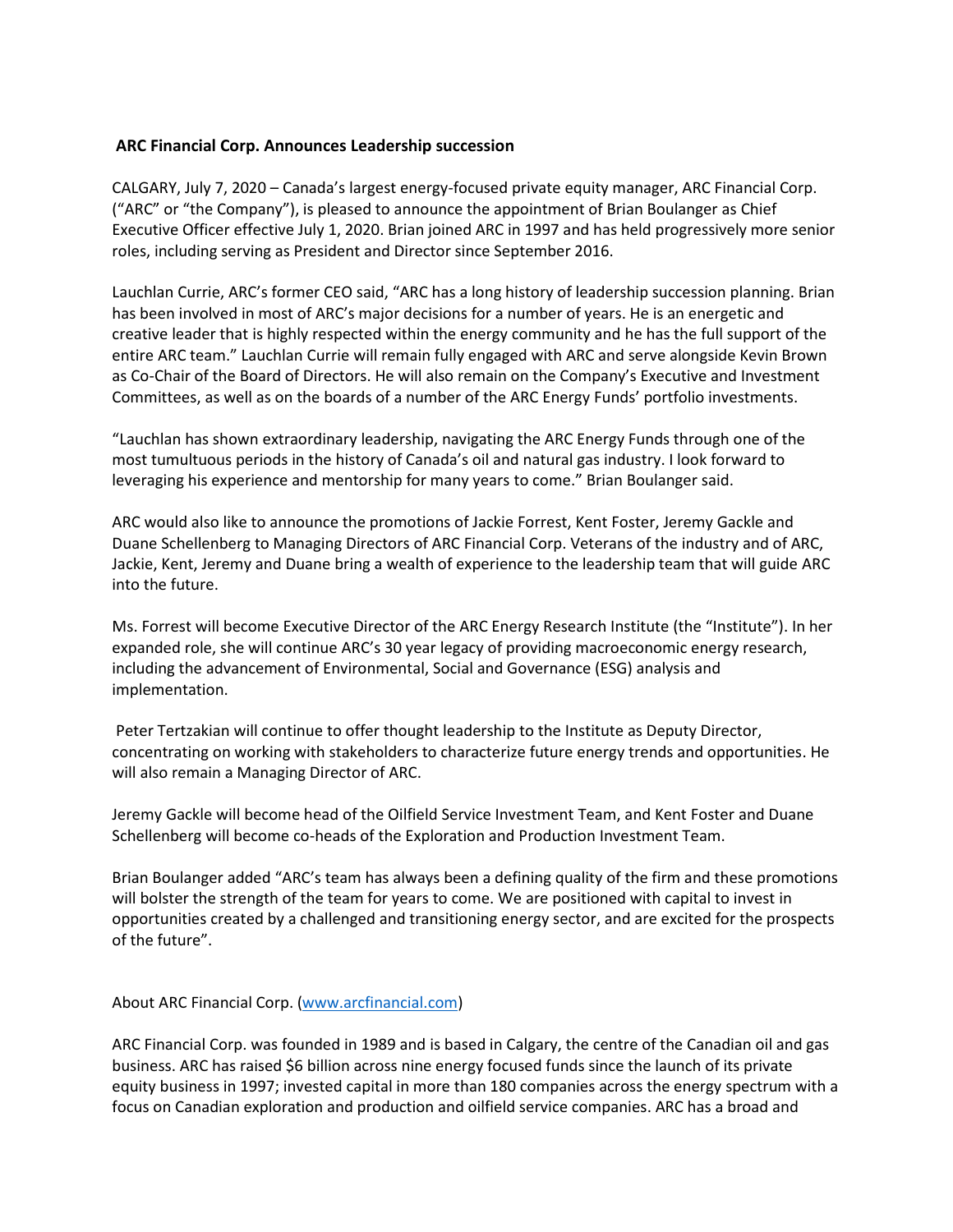## **ARC Financial Corp. Announces Leadership succession**

CALGARY, July 7, 2020 – Canada's largest energy-focused private equity manager, ARC Financial Corp. ("ARC" or "the Company"), is pleased to announce the appointment of Brian Boulanger as Chief Executive Officer effective July 1, 2020. Brian joined ARC in 1997 and has held progressively more senior roles, including serving as President and Director since September 2016.

Lauchlan Currie, ARC's former CEO said, "ARC has a long history of leadership succession planning. Brian has been involved in most of ARC's major decisions for a number of years. He is an energetic and creative leader that is highly respected within the energy community and he has the full support of the entire ARC team." Lauchlan Currie will remain fully engaged with ARC and serve alongside Kevin Brown as Co-Chair of the Board of Directors. He will also remain on the Company's Executive and Investment Committees, as well as on the boards of a number of the ARC Energy Funds' portfolio investments.

"Lauchlan has shown extraordinary leadership, navigating the ARC Energy Funds through one of the most tumultuous periods in the history of Canada's oil and natural gas industry. I look forward to leveraging his experience and mentorship for many years to come." Brian Boulanger said.

ARC would also like to announce the promotions of Jackie Forrest, Kent Foster, Jeremy Gackle and Duane Schellenberg to Managing Directors of ARC Financial Corp. Veterans of the industry and of ARC, Jackie, Kent, Jeremy and Duane bring a wealth of experience to the leadership team that will guide ARC into the future.

Ms. Forrest will become Executive Director of the ARC Energy Research Institute (the "Institute"). In her expanded role, she will continue ARC's 30 year legacy of providing macroeconomic energy research, including the advancement of Environmental, Social and Governance (ESG) analysis and implementation.

Peter Tertzakian will continue to offer thought leadership to the Institute as Deputy Director, concentrating on working with stakeholders to characterize future energy trends and opportunities. He will also remain a Managing Director of ARC.

Jeremy Gackle will become head of the Oilfield Service Investment Team, and Kent Foster and Duane Schellenberg will become co-heads of the Exploration and Production Investment Team.

Brian Boulanger added "ARC's team has always been a defining quality of the firm and these promotions will bolster the strength of the team for years to come. We are positioned with capital to invest in opportunities created by a challenged and transitioning energy sector, and are excited for the prospects of the future".

## About ARC Financial Corp. [\(www.arcfinancial.com\)](http://www.arcfinancial.com/)

ARC Financial Corp. was founded in 1989 and is based in Calgary, the centre of the Canadian oil and gas business. ARC has raised \$6 billion across nine energy focused funds since the launch of its private equity business in 1997; invested capital in more than 180 companies across the energy spectrum with a focus on Canadian exploration and production and oilfield service companies. ARC has a broad and